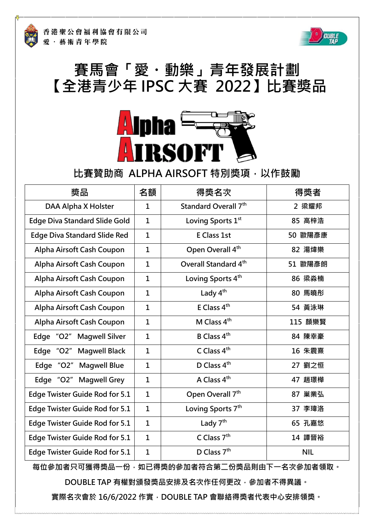

## **賽馬會「愛・動樂」青年發展計劃 【全港青少年 IPSC 大賽 2022】比賽奬品**



## **比賽贊助商 ALPHA AIRSOFT 特別獎項,以作鼓勵**

| 獎品                                    | 名額           | 得獎名次                             | 得獎者        |
|---------------------------------------|--------------|----------------------------------|------------|
| DAA Alpha X Holster                   | $\mathbf{1}$ | Standard Overall 7 <sup>th</sup> | 2 梁耀邦      |
| <b>Edge Diva Standard Slide Gold</b>  | $\mathbf{1}$ | Loving Sports 1 <sup>st</sup>    | 85 高梓浩     |
| <b>Edge Diva Standard Slide Red</b>   | $\mathbf{1}$ | <b>E Class 1st</b>               | 50 歐陽彥康    |
| Alpha Airsoft Cash Coupon             | $\mathbf{1}$ | Open Overall 4 <sup>th</sup>     | 82 湯煒樂     |
| Alpha Airsoft Cash Coupon             | $\mathbf{1}$ | Overall Standard 4 <sup>th</sup> | 51 歐陽彥朗    |
| Alpha Airsoft Cash Coupon             | $\mathbf 1$  | Loving Sports 4 <sup>th</sup>    | 86 梁淼楠     |
| Alpha Airsoft Cash Coupon             | $\mathbf{1}$ | Lady 4 <sup>th</sup>             | 80 馬曉彤     |
| Alpha Airsoft Cash Coupon             | $\mathbf{1}$ | E Class $4th$                    | 54 黃泳琳     |
| Alpha Airsoft Cash Coupon             | $\mathbf{1}$ | M Class 4 <sup>th</sup>          | 115 顏樂賢    |
| Edge "O2" Magwell Silver              | $\mathbf{1}$ | B Class 4 <sup>th</sup>          | 84 陳幸豪     |
| Edge "O2"<br><b>Magwell Black</b>     | $\mathbf{1}$ | C Class 4th                      | 16 朱震熹     |
| Edge "O2"<br><b>Magwell Blue</b>      | $\mathbf{1}$ | D Class 4 <sup>th</sup>          | 27 劉之恒     |
| Edge "O2"<br><b>Magwell Grey</b>      | $\mathbf{1}$ | A Class 4 <sup>th</sup>          | 47 趙璟樺     |
| <b>Edge Twister Guide Rod for 5.1</b> | $\mathbf{1}$ | Open Overall 7 <sup>th</sup>     | 87 巢業弘     |
| <b>Edge Twister Guide Rod for 5.1</b> | $\mathbf{1}$ | Loving Sports 7 <sup>th</sup>    | 37 李瑋洛     |
| <b>Edge Twister Guide Rod for 5.1</b> | $\mathbf{1}$ | Lady $7th$                       | 65 孔嘉悠     |
| Edge Twister Guide Rod for 5.1        | $\mathbf{1}$ | C Class 7 <sup>th</sup>          | 14 譚晉裕     |
| <b>Edge Twister Guide Rod for 5.1</b> | $\mathbf{1}$ | D Class 7 <sup>th</sup>          | <b>NIL</b> |

**每位參加者只可獲得獎品一份,如已得獎的參加者符合第二份獎品則由下一名次參加者領取。**

**DOUBLE TAP 有權對頒發獎品安排及名次作任何更改,參加者不得異議。**

**實際名次會於 16/6/2022 作實,DOUBLE TAP 會聯絡得獎者代表中心安排領獎。**